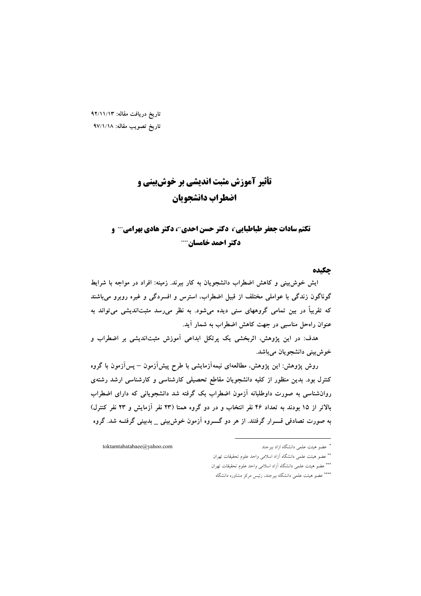تاريخ دريافت مقاله: ٩٢/١١/١٣ تاريخ تصويب مقاله: ٩٧/١/١٨

# تأثیر آموزش مثبت اندیشی بر خوش بینی و اضطراب دانشجويان

# تکتم سادات جعفر طباطبایی ، دکتر حسن احدی "، دکتر هادی بهرامی " و دکتر احمد خامسان….

#### جكىدە

ایش خوش بینی و کاهش اضطراب دانشجویان به کار ببرند. زمینه: افراد در مواجه با شرایط گوناگون زندگی با عواملی مختلف از قبیل اضطراب، استرس و افسردگی و غیره روبرو میباشند که تقریباً در بین تمامی گروههای سنی دیده میشود. به نظر میرسد مثبتاندیشی میتواند به عنوان راهحل مناسبی در جهت کاهش اضطراب به شمار آید.

هدف: در این پژوهش، اثربخشی یک پرتکل ابداعی آموزش مثبتاندیشی بر اضطراب و خوش بيني دانشجويان ميباشد.

روش پژوهش: این پژوهش، مطالعهای نیمهآزمایشی با طرح پیشآزمون — پسآزمون با گروه کنترل بود. بدین منظور از کلیه دانشجویان مقاطع تحصیلی کارشناسی و کارشناسی ارشد رشتهی روانشناسی به صورت داوطلبانه آزمون اضطراب بک گرفته شد دانشجویانی که دارای اضطراب بالاتر از ۱۵ بودند به تعداد ۴۶ نفر انتخاب و در دو گروه همتا (۲۳ نفر آزمایش و ۲۳ نفر کنترل) به صورت تصادفی قسـرار گرفتند. از هر دو گــــروه آزمون خوش بینی \_ بدبینی گرفتــه شد. گروه

toktamtabatabaee@yahoo.com

<sup>&</sup>quot; عضو هیئت علمی دانشگاه ازاد بیرجند

<sup>\*\*</sup> عضو هيئت علمي دانشگاه آزاد اسلامي واحد علوم تحقيقات تهران \*\*\* عضو هيئت علمي دانشگاه آزاد اسلامي واحد علوم تحقيقات تهران

<sup>\*\*\*\*</sup> عضو هیئت علمی دانشگاه بیرجند، رئیس مرکز مشاوره دانشگاه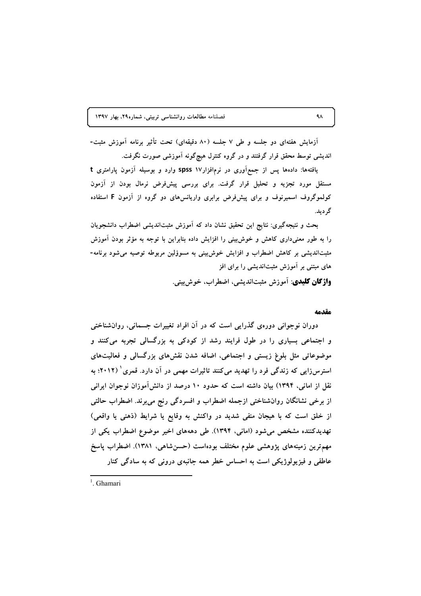آزمایش هفتهای دو جلسه و طی ۷ جلسه (۸۰ دقیقهای) تحت تأثیر برنامه آموزش مثبت-اندیشی توسط محقق قرار گرفتند و در گروه کنترل هیچگونه آموزشی صورت نگرفت.

یافتهها: دادهها پس از جمع آوری در نرمافزار۱۷ spss وارد و بوسیله آزمون پارامتری t مستقل مورد تجزیه و تحلیل قرار گرفت. برای بررسی پیشفرض نرمال بودن از آزمون کولموگروف اسمیرنوف و برای پیش فرض برابری واریانس های دو گروه از آزمون F استفاده گر دید.

بحث و نتیجهگیری: نتایج این تحقیق نشان داد که آموزش مثبتاندیشی اضطراب دانشجویان را به طور معنیداری کاهش و خوش بینی را افزایش داده بنابراین با توجه به مؤثر بودن آموزش مثبتاندیشی بر کاهش اضطراب و افزایش خوش بینی به مسوؤلین مربوطه توصیه می شود برنامه-های مبتنی بر آموزش مثبتاندیشی را برای افز **واژگان کلیدی**: آموزش مثبتاندیشی، اضطراب، خوشبینی.

#### مقدمه

دوران نوجوانی دورهی گذرایی است که در آن افراد تغییرات جسمانی، روانشناختی و اجتماعی بسیاری را در طول فرایند رشد از کودکی به بزرگسالی تجربه میکنند و موضوعاتی مثل بلوغ زیستی و اجتماعی، اضافه شدن نقشهای بزرگسالی و فعالیتهای استرس(ایی که زندگی فرد را تهدید میکنند تاثیرات مهمی در آن دارد. قمری ٔ (۲۰۱۲؛ به نقل از امانی، ۱۳۹۴) بیان داشته است که حدود ۱۰ درصد از دانش[موزان نوجوان ایرانی از برخی نشانگان روانشناختی ازجمله اضطراب و افسردگی رنج میبرند. اضطراب حالتی از خلق است که با هیجان منفی شدید در واکنش به وقایع یا شرایط (ذهنی یا واقعی) تهدیدکننده مشخص می شود (امانی، ۱۳۹۴). طی دهههای اخیر موضوع اضطراب یکی از مهمترین زمینههای پژوهشی علوم مختلف بودهاست (حسنشاهی، ۱۳۸۱). اضطراب پاسخ عاطفی و فیزیولوژیکی است به احساس خطر همه جانبهی درونی که به سادگی کنار

 $1$  Ghamari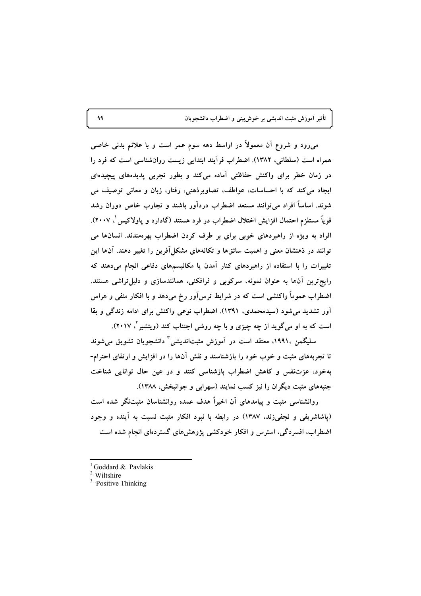میرود و شروع آن معمولاً در اواسط دهه سوم عمر است و با علائم بدنی خاصی همراه است (سلطانی، ۱۳۸۲). اضطراب فرأیند ابتدایی زیست روان شناسی است که فرد را در زمان خطر برای واکنش حفاظتی آماده میکند و بطور تجربی پدیدههای پیچیدهای ایجاد می کند که با احساسات، عواطف، تصاویرذهنی، رفتار، زبان و معانی توصیف می شوند. اساساً افراد می توانند مستعد اضطراب دردآور باشند و تجارب خاص دوران رشد قوياً مستلزم احتمال افزايش اختلال اضطراب در فرد هستند (گادارد و پاولاكيس ْ ٢٠٠٧). افراد به ویژه از راهبردهای خوبی برای بر طرف کردن اضطراب بهرهمندند. انسانها می توانند در ذهنشان معنی و اهمیت سائقها و تکانههای مشکل آفرین را تغییر دهند. آنها این تغییرات را با استفاده از راهبردهای کنار آمدن یا مکانیسمهای دفاعی انجام میدهند که رایج ترین آنها به عنوان نمونه، سرکوبی و فرافکنی، همانندسازی و دلیل تراشی هستند. اضطراب عموماً واکنشی است که در شرایط ترسآور رخ میدهد و با افکار منفی و هراس آور تشدید می شود (سیدمحمدی، ۱۳۹۱). اضطراب نوعی واکنش برای ادامه زندگی و بقا است که به او میگوید از چه چیزی و با چه روشی اجتناب کند (ویتشیر <sup>۲</sup>، ۲۰۱۷).

سليگمن ،١٩٩١، معتقد است در آموزش مثبتانديشي " دانشجويان تشويق مي شوند تا تجربههای مثبت و خوب خود را بازشناسند و نقش آنها را در افزایش و ارتقای احترام-بهخود، عزتنفس و كاهش اضطراب بازشناسی كنند و در عین حال توانایی شناخت جنبههای مثبت دیگران را نیز کسب نمایند (سهرابی و جوانبخش، ۱۳۸۸).

روانشناسی مثبت و پیامدهای آن اخیراً هدف عمده روانشناسان مثبتنگر شده است (یاشاشریفی و نجفیزند، ۱۳۸۷) در رابطه با نبود افکار مثبت نسبت به آینده و وجود اضطراب، افسردگی، استرس و افکار خودکشی پژوهشهای گستردهای انجام شده است

<sup>&</sup>lt;sup>1</sup> Goddard & Pavlakis

<sup>&</sup>lt;sup>2</sup> Wiltshire

 $3$  Positive Thinking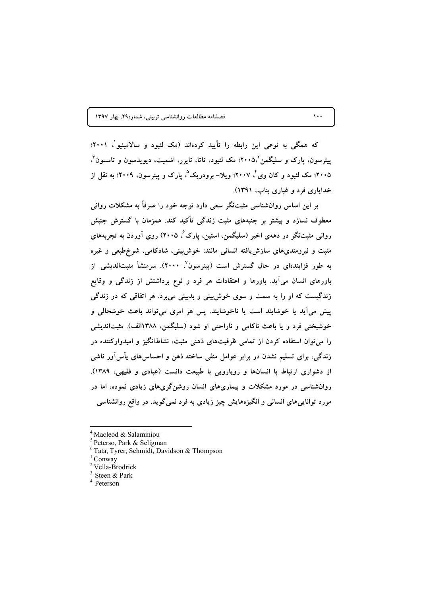که همگی به نوعی این رابطه را تأیید کردهاند (مک لئیود و سالامینیو \ ۲۰۰۱؛ یبتر سون، یارک و سلیگمن'۲۰۰۵٪ مک لئیود، تاتا، تایرر، اشمیت، دیویدسون و تامسون ٌ، ۲۰۰۵؛ مک لئیود و کان وی ٔ ۲۰۰۷؛ ویلا– برودریک ٔ، پارک و پیترسون، ۲۰۰۹؛ به نقل از خدایاری فرد و غباری بناب، ۱۳۹۱).

بر این اساس روانشناسی مثبتنگر سعی دارد توجه خود را صرفاً به مشکلات روانی معطوف نسازد و بیشتر بر جنبههای مثبت زندگی تأکید کند. همزمان با گسترش جنبش روانی مثبتنگر در دههی اخیر (سلیگمن، استین، پارک ٔ، ۲۰۰۵) روی آوردن به تجربههای مثبت و نیرومندیهای سازش یافته انسانی مانند: خوش بینی، شادکامی، شوخ طبعی و غیره به طور فزایندهای در حال گسترش است (پیترسون<sup>۷</sup>، ۲۰۰۰). سرمنشأ مثبتاندیشی از باورهای انسان میآید. باورها و اعتقادات هر فرد و نوع برداشتش از زندگی و وقایع زندگیست که او را به سمت و سوی خوشبینی و بدبینی میبرد. هر اتفاقی که در زندگی پیش میآید یا خوشایند است یا ناخوشایند. پس هر امری میتواند باعث خوشحالی و خوشبختی فرد و یا باعث ناکامی و ناراحتی او شود (سلیگمن، ۱۳۸۸الف). مثبتاندیشی را می توان استفاده کردن از تمامی ظرفیتهای ذهنی مثبت، نشاطانگیز و امیدوارکننده در زندگی، برای تسلیم نشدن در برابر عوامل منفی ساخته ذهن و احساس۵ای یأس[ور ناشی از دشواری ارتباط با انسانها و رویارویی با طبیعت دانست (عبادی و فقیهی، ۱۳۸۹). روانشناسی در مورد مشکلات و بیماریهای انسان روشن گریهای زیادی نموده، اما در مورد تواناییهای انسانی و انگیزههایش چیز زیادی به فرد نمیگوید. در واقع روانشناسی

 $\lambda \cdot \cdot$ 

<sup>&</sup>lt;sup>4</sup> Macleod & Salaminiou

<sup>&</sup>lt;sup>5</sup> Peterso, Park & Seligman

<sup>&</sup>lt;sup>6</sup>Tata, Tyrer, Schmidt, Davidson & Thompson

 ${}^{1}$ Conway

<sup>&</sup>lt;sup>2</sup>Vella-Brodrick

 $3.$  Steen & Park

<sup>&</sup>lt;sup>4.</sup> Peterson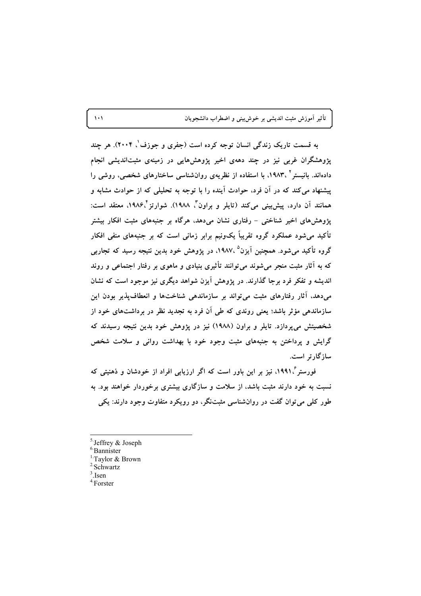تأثیر آموزش مثبت اندیشی بر خوش بینی و اضطراب دانشجویان

به قسمت تاریک زندگی انسان توجه کرده است (جفری و جوزف'، ۲۰۰۴). هر چند پژوهشگران غربی نیز در چند دههی اخیر پژوهشهایی در زمینهی مثبتاندیشی انجام دادهاند. بانیستر ' ،۱۹۸۳، با استفاده از نظریهی روانشناسی ساختارهای شخصی، روشی را پیشنهاد می کند که در آن فرد، حوادث آینده را با توجه به تحلیلی که از حوادث مشابه و همانند آن دارد، پیش بینی می کند (تایلر و براون<sup>"م</sup>. ۱۹۸۸). شوارتز<sup>۴</sup>،۱۹۸۶، معتقد است: یژوهش های اخیر شناختی – رفتاری نشان می دهد، هرگاه بر جنبههای مثبت افکار بیشتر تأکید می شود عملکرد گروه تقریباً یکونیم برابر زمانی است که بر جنبههای منفی افکار گروه تأکید میشود. همچنین اَیزن<sup>۵</sup> ،۱۹۸۷، در پژوهش خود بدین نتیجه رسید که تجاربی که به آثار مثبت منجر میشوند میتوانند تأثیری بنیادی و ماهوی بر رفتار اجتماعی و روند اندیشه و تفکر فرد برجا گذارند. در پژوهش آیزن شواهد دیگری نیز موجود است که نشان میدهد، آثار رفتارهای مثبت میتواند بر سازماندهی شناختها و انعطاف پذیر بودن این سازماندهی مؤثر باشد؛ یعنی روندی که طی آن فرد به تجدید نظر در برداشتهای خود از شخصیتش میپردازد. تایلر و براون (۱۹۸۸) نیز در پژوهش خود بدین نتیجه رسیدند که گرایش و پرداختن به جنبههای مثبت وجود خود با بهداشت روانی و سلامت شخص سازگارتر است.

فورستر گ۱۹۹۱، نیز بر این باور است که اگر ارزیابی افراد از خودشان و ذهنیتی که نسبت به خود دارند مثبت باشد، از سلامت و سازگاری بیشتری برخوردار خواهند بود. به طور کلي مي توان گفت در روانشناسي مثبتنگر، دو رويکرد متفاوت وجود دارند: يکي

- $3$  Isen
- $4.$  Forster

 $\lambda$ 

 $<sup>5</sup>$  Jeffrey & Joseph</sup>

 $6$ Bannister

<sup>&</sup>lt;sup>1.</sup>Tavlor & Brown

<sup>&</sup>lt;sup>2</sup>Schwartz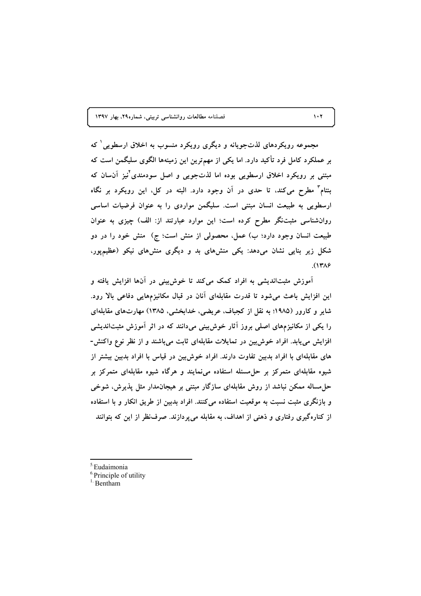مجموعه رویکردهای لذتجویانه و دیگری رویکرد منسوب به اخلاق ارسطویی که بر عملکرد کامل فرد تأکید دارد. اما یکی از مهمترین این زمینهها الگوی سلیگمن است که مبتنی بر رویکرد اخلاق ارسطویی بوده اما لذتجویی و اصل سودمندی نیز آنسان که بنتام" مطرح می کند، تا حدی در آن وجود دارد. البته در کل، این رویکرد بر نگاه ارسطویی به طبیعت انسان مبتنی است. سلیگمن مواردی را به عنوان فرضیات اساسی روانشناسی مثبتنگر مطرح کرده است؛ این موارد عبارتند از: الف) چیزی به عنوان طبیعت انسان وجود دارد؛ ب) عمل، محصولی از منش است؛ ج) ً منش خود را در دو شکل زیر بنایی نشان میدهد: یکی منشهای بد و دیگری منشهای نیکو (عظیمپور،  $(1719$ 

آموزش مثبتاندیشی به افراد کمک میکند تا خوش بینی در آنها افزایش یافته و این افزایش باعث میشود تا قدرت مقابلهای آنان در قبال مکانیزمهایی دفاعی بالا رود. شایر و کارور (۱۹۸۵؛ به نقل از کجباف، عریضی، خدابخشی، ۱۳۸۵) مهارتهای مقابلهای را یکی از مکانیزمهای اصلی بروز آثار خوشبینی میدانند که در اثر آموزش مثبتاندیشی افزایش می یابد. افراد خوش بین در تمایلات مقابلهای ثابت میباشند و از نظر نوع واکنش-های مقابلهای با افراد بدبین تفاوت دارند. افراد خوش بین در قیاس با افراد بدبین بیشتر از شیوه مقابلهای متمرکز بر حلءسئله استفاده می نمایند و هرگاه شیوه مقابلهای متمرکز بر حل مساله ممکن نباشد از روش مقابلهای سازگار مبتنی بر هیجان۵دار مثل پذیرش، شوخی و بازنگری مثبت نسبت به موقعیت استفاده می کنند. افراد بدبین از طریق انکار و با استفاده از کنارهگیری رفتاری و ذهنی از اهداف، به مقابله می پردازند. صرف نظر از این که بتوانند

<sup>5</sup>Eudaimonia

 $\mathbf{1} \cdot \mathbf{Y}$ 

<sup>&</sup>lt;sup>6</sup>Principle of utility

 $<sup>1</sup>$  Bentham</sup>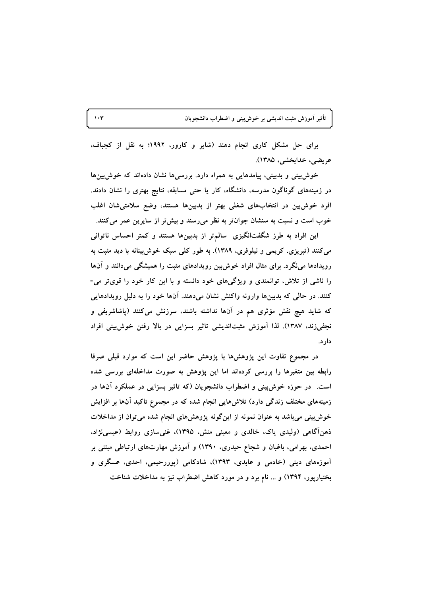تأثیر آموزش مثبت اندیشی بر خوشبینی و اضطراب دانشجویان

برای حل مشکل کاری انجام دهند (شایر و کارور، ۱۹۹۲؛ به نقل از کجباف، عريضي، خدابخشي، ١٣٨۵).

خوش بینی و بدبینی، پیامدهایی به همراه دارد. بررسی ها نشان دادهاند که خوش بین ها در زمینههای گوناگون مدرسه، دانشگاه، کار یا حتی مسابقه، نتایج بهتری را نشان دادند. افرد خوش بین در انتخابهای شغلی بهتر از بدبینها هستند، وضع سلامتی شان اغلب خوب است و نسبت به سنشان جوان تر به نظر میرسند و بیش تر از سایرین عمر میکنند.

این افراد به طرز شگفتانگیزی ً سالم تر از بدبینها هستند و کمتر احساس ناتوانی می کنند (تبریزی، کریمی و نیلوفری، ۱۳۸۹). به طور کلی سبک خوش بینانه با دید مثبت به رویدادها می نگرد. برای مثال افراد خوش بین رویدادهای مثبت را همیشگی میدانند و آنها را ناشی از تلاش، توانمندی و ویژگیهای خود دانسته و با این کار خود را قویتر می-کنند. در حالی که بدبینها وارونه واکنش نشان میدهند. آنها خود را به دلیل رویدادهایی که شاید هیچ نقش مؤثری هم در آنها نداشته باشند، سرزنش میکنند (پاشاشریفی و نجفیزند، ۱۳۸۷). لذا آموزش مثبتاندیشی تاثیر بسزایی در بالا رفتن خوش بینی افراد دار د.

در مجموع تفاوت این پژوهشها با پژوهش حاضر این است که موارد قبلی صرفا رابطه بین متغیرها را بررسی کردهاند اما این پژوهش به صورت مداخلهای بررسی شده است. در حوزه خوش بینی و اضطراب دانشجویان (که تاثیر بسزایی در عملکرد آنها در زمینههای مختلف زندگی دارد) تلاشهایی انجام شده که در مجموع تاکید آنها بر افزایش خوش بینی می باشد به عنوان نمونه از این گونه پژوهشهای انجام شده می توان از مداخلات ذهنآگاهی (ولیدی پاک، خالدی و معینی منش، ۱۳۹۵)، غنیسازی روابط (عیسینژاد، احمدی، بهرامی، باغبان و شجاع حیدری، ۱۳۹۰) و آموزش مهارتهای ارتباطی مبتنی بر آموزههای دینی (خادمی و عابدی، ۱۳۹۳)، شادکامی (پوررحیمی، احدی، عسگری و بختیارپور، ۱۳۹۴) و … نام برد و در مورد کاهش اضطراب نیز به مداخلات شناخت

 $\mathbf{v}$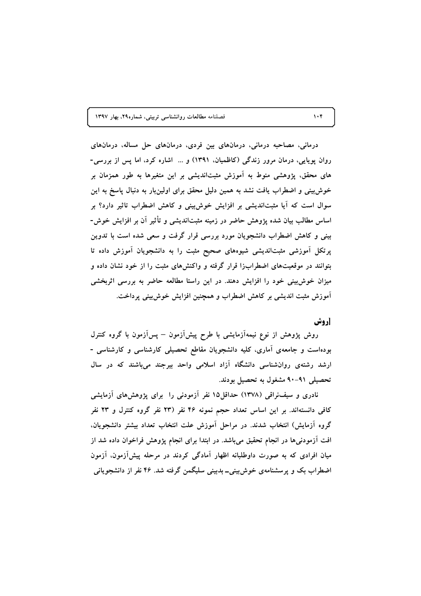درمانی، مصاحبه درمانی، درمانهای بین فردی، درمانهای حل مساله، درمانهای روان پویایی، درمان مرور زندگی (کاظمیان، ۱۳۹۱) و … اشاره کرد، اما پس از بررسی-های محقق، پژوهشی منوط به آموزش مثبتاندیشی بر این متغیرها به طور همزمان بر خوش بینی و اضطراب یافت نشد به همین دلیل محقق برای اولینبار به دنبال پاسخ به این سوال است که آیا مثبتاندیشی بر افزایش خوش بینی و کاهش اضطراب تاثیر دارد؟ بر اساس مطالب بیان شده پژوهش حاضر در زمینه مثبتاندیشی و تأثیر آن بر افزایش خوش-بینی و کاهش اضطراب دانشجویان مورد بررسی قرار گرفت و سعی شده است با تدوین پرتکل آموزشی مثبتاندیشی شیوههای صحیح مثبت را به دانشجویان آموزش داده تا بتوانند در موقعیتهای اضطرابزا قرار گرفته و واکنشهای مثبت را از خود نشان داده و میزان خوشبینی خود را افزایش دهند. در این راستا مطالعه حاضر به بررسی اثربخشی آموزش مثبت اندیشی بر کاهش اضطراب و همچنین افزایش خوش بینی پرداخت.

#### **[روش**

روش پژوهش از نوع نیمهآزمایشی با طرح پیش[زمون – پس[زمون با گروه کنترل بودهاست و جامعهی آماری، کلیه دانشجویان مقاطع تحصیلی کارشناسی و کارشناسی -ارشد رشتهی روانشناسی دانشگاه آزاد اسلامی واحد بیرجند میباشند که در سال تحصیلی ۹۱-۹۰ مشغول به تحصیل بودند.

نادری و سیفنراقی (۱۳۷۸) حداقل۱۵ نفر آزمودنی را برای پژوهش های آزمایشی کافی دانستهاند. بر این اساس تعداد حجم نمونه ۴۶ نفر (۲۳ نفر گروه کنترل و ۲۳ نفر گروه آزمایش) انتخاب شدند. در مراحل آموزش علت انتخاب تعداد بیشتر دانشجویان. افت آزمودنیها در انجام تحقیق می باشد. در ابتدا برای انجام پژوهش فراخوان داده شد از میان افرادی که به صورت داوطلبانه اظهار آمادگی کردند در مرحله پیشآزمون، آزمون اضطراب بک و پرسشنامهی خوش بینی۔ بدیپنی سلیگمن گرفته شد. ۴۶ نفر از دانشجویانی

 $\mathcal{N} \cdot \mathcal{K}$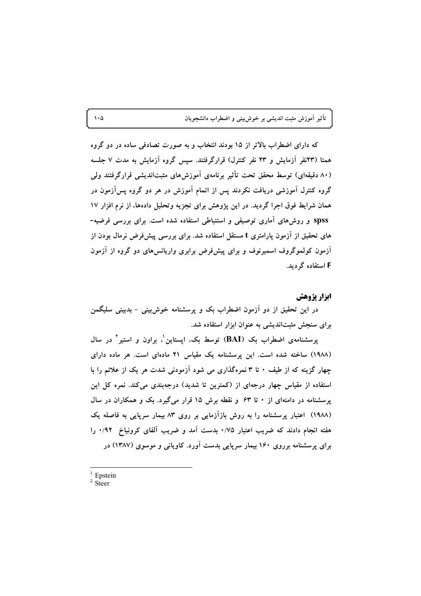که دارای اضطراب بالاتر از ۱۵ بودند انتخاب و به صورت تصادفی ساده در دو گروه همتا (۲۳نفر آزمایش و ۲۳ نفر کنترل) قرارگرفتند. سپس گروه آزمایش به مدت ۷ جلسه (۸۰ دقیقهای) توسط محقق تحت تأثیر برنامهی آموزش های مثبتاندیشی قرارگرفتند ولی گروه کنترل آموزشی دریافت نکردند پس از اتمام آموزش در هر دو گروه پسآزمون در همان شرایط فوق اجرا گردید. در این پژوهش برای تجزیه وتحلیل دادهها، از نرم افزار ۱۷ spss و روش های آماری توصیفی و استنباطی استفاده شده است. برای بررسی فرضیه-های تحقیق از آزمون پارامتری t مستقل استفاده شد. برای بررسی پیشفرض نرمال بودن از آزمون کولموگروف اسمیرنوف و برای پیشفرض برابری واریانسهای دو گروه از آزمون F استفاده گردید.

### ابزار يژوهش

در این تحقیق از دو آزمون اضطراب بک و پرسشنامه خوشبینی – بدبینی سلیگمن برای سنجش مثبتاندیشی به عنوان ابزار استفاده شد.

پرسشنامهی اضطراب بک (BAI) توسط بک، ایستاین ْ، براون و استیر ْ در سال (١٩٨٨) ساخته شده است. این پرسشنامه یک مقیاس ٢١ مادهای است. هر ماده دارای چهار گزینه که از طیف ۰ تا ۳ نمرهگذاری می شود آزمودنی شدت هر یک از علائم را با استفاده از مقیاس چهار درجهای از (کمترین تا شدید) درجهبندی میکند. نمره کل این پرسشنامه در دامنهای از ۰ تا ۶۳ و نقطه برش ۱۵ قرار میگیرد. یک و همکاران در سال (۱۹۸۸) اعتبار پرسشنامه را به روش بازآزمایی بر روی ۸۳ بیمار سرپایی به فاصله یک هفته انجام دادند که ضریب اعتبار ۰/۷۵ بدست آمد و ضریب آلفای کرونباخ ۰/۹۲ را برای پرسشنامه برروی ۱۶۰ بیمار سرپایی بدست آورد. کاویانی و موسوی (۱۳۸۷) در

 $<sup>1</sup>$  Epstein</sup>

 $\cdot \circ$ 

 $2.$  Steer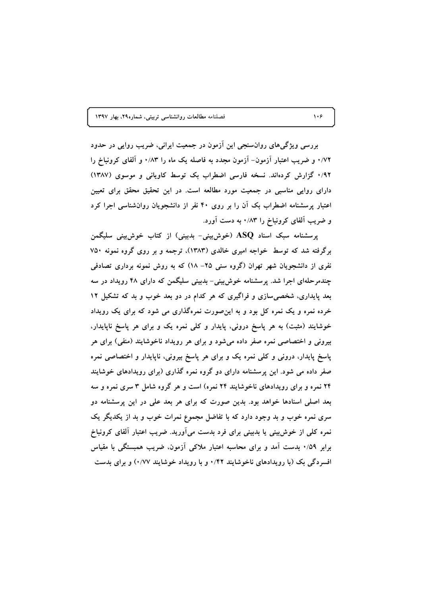بررسی ویژگیهای روانسنجی این آزمون در جمعیت ایرانی، ضریب روایی در حدود ۰/۷۲ و ضریب اعتبار آزمون– آزمون مجدد به فاصله یک ماه را ۰/۸۳ و آلفای کرونباخ را ۰/۹۲ گزارش کردهاند. نسخه فارسی اضطراب بک توسط کاویانی و موسوی (۱۳۸۷) دارای روایی مناسبی در جمعیت مورد مطالعه است. در این تحقیق محقق برای تعیین اعتبار پرسشنامه اضطراب بک آن را بر روی ۴۰ نفر از دانشجویان روانشناسی اجرا کرد و ضریب آلفای کرونباخ را ۰/۸۳ به دست آورد.

پرسشنامه سبک اسناد ASQ (خوش بینی- بدبینی) از کتاب خوش بینی سلیگمن برگرفته شد که توسط خواجه امیری خالدی (۱۳۸۳)، ترجمه و بر روی گروه نمونه ۷۵۰ نفری از دانشجویان شهر تهران (گروه سنی ۲۵– ۱۸) که به روش نمونه برداری تصادفی چندمرحلهای اجرا شد. پرسشنامه خوشبینی- بدبینی سلیگمن که دارای ۴۸ رویداد در سه بعد پایداری، شخصی سازی و فراگیری که هر کدام در دو بعد خوب و بد که تشکیل ۱۲ خرده نمره و یک نمره کل بود و به اینصورت نمرهگذاری می شود که برای یک رویداد خوشایند (مثبت) به هر پاسخ درونی، پایدار و کلّی نمره یک و برای هر پاسخ ناپایدار، بیرونی و اختصاصی نمره صفر داده میشود و برای هر رویداد ناخوشایند (منفی) برای هر پاسخ پایدار، درونی و کلی نمره یک و برای هر پاسخ بیرونی، ناپایدار و اختصاصی نمره صفر داده می شود. این پرسشنامه دارای دو گروه نمره گذاری (برای رویدادهای خوشایند ۲۴ نمره و برای رویدادهای ناخوشایند ۲۴ نمره) است و هر گروه شامل ۳ سری نمره و سه بعد اصلی اسنادها خواهد بود. بدین صورت که برای هر بعد علی در این پرسشنامه دو سری نمره خوب و بد وجود دارد که با تفاضل مجموع نمرات خوب و بد از یکدیگر یک نمره کلی از خوش بینی یا بدبینی برای فرد بدست میآورید. ضریب اعتبار آلفای کرونباخ برابر ۰/۵۹ بدست آمد و برای محاسبه اعتبار ملاکی آزمون. ضریب همبستگی با مقیاس افسردگی یک (با رویدادهای ناخوشایند ۰/۴۲ و با رویداد خوشایند ۰/۷۷) و برای بدست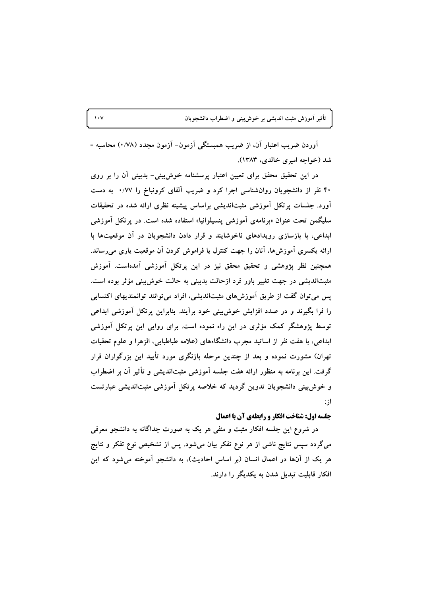آوردن ضریب اعتبار آن، از ضریب همبستگی آزمون- آزمون مجدد (۰/۷۸) محاسبه -شد (خواجه اميري خالدي، ۱۳۸۳).

در این تحقیق محقق برای تعیین اعتبار پرسشنامه خوش بینی- بدبینی آن را بر روی ۴۰ نفر از دانشجویان روانشناسی اجرا کرد و ضریب آلفای کرونباخ را ۰/۷۷ به دست آورد. جلسات برتکل آموزشی مثبتاندیشی براساس پیشینه نظری ارائه شده در تحقیقات سلیگمن تحت عنوان «برنامهی آموزشی پنسپلوانیا» استفاده شده است. در پرتکل آموزشی ابداعی، با بازسازی رویدادهای ناخوشایند و قرار دادن دانشجویان در آن موقعیتها با ارائه یکسری اَموزش۵ما، آنان را جهت کنترل یا فراموش کردن اَن موقعیت یاری می٫ساند. همچنین نظر پژوهشی و تحقیق محقق نیز در این پرتکل آموزشی آمدهاست. آموزش مثبتاندیشی در جهت تغییر باور فرد ازحالت بدبینی به حالت خوش بینی مؤثر بوده است. پس می توان گفت از طریق آموزشهای مثبتاندیشی، افراد می توانند توانمندیهای اکتسابی را فرا بگیرند و در صدد افزایش خوش بینی خود برآیند. بنابراین پرتکل آموزشی ابداعی توسط پژوهشگر کمک مؤثری در این راه نموده است. برای روایی این پرتکل آموزشی ابداعی، با هفت نفر از اساتید مجرب دانشگاههای (علامه طباطبایی، الزهرا و علوم تحقیات تهران) مشورت نموده و بعد از چندین مرحله بازنگری مورد تأیید این بزرگواران قرار گرفت. این برنامه به منظور ارائه هفت جلسه آموزشی مثبتاندیشی و تأثیر آن بر اضطراب و خوش بینی دانشجویان تدوین گردید که خلاصه پرتکل آموزشی مثبتاندیشی عبارتست از:

### جلسه اول: شناخت افكار و رابطهی آن با اعمال

در شروع این جلسه افکار مثبت و منفی هر یک به صورت جداگانه به دانشجو معرفی میگردد سپس نتایج ناشی از هر نوع تفکر بیان میشود. پس از تشخیص نوع تفکر و نتایج هر یک از آنها در اعمال انسان (بر اساس احادیث)، به دانشجو آموخته می شود که این افکار قابلیت تبدیل شدن به یکدیگر را دارند.

#### $\mathbf{v}$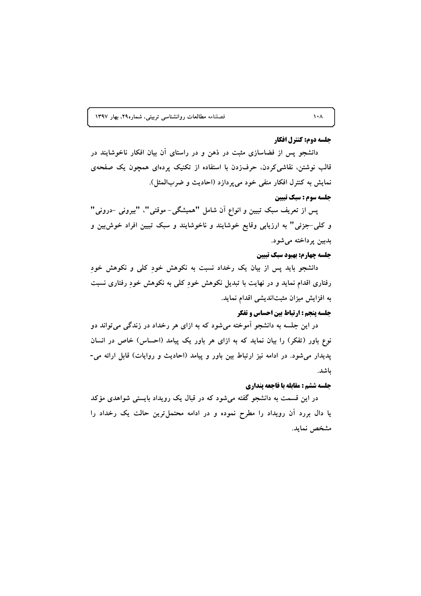#### جلسه دوم: كنترل افكار

دانشجو پس از فضاسازی مثبت در ذهن و در راستای آن بیان افکار ناخوشایند در قالب نوشتن، نقاشی کردن، حرف(دن با استفاده از تکنیک پردهای همچون یک صفحهی نمايش به كنترل افكار منفى خود مىپردازد (احاديث و ضربالمثل).

#### جلسه سوم : سبك تبيين

پس از تعریف سبک تبیین و انواع آن شامل "همیشگی- موقتی"، "بیرونی -درونی" و کلی-جزئی" به ارزیابی وقایع خوشایند و ناخوشایند و سبک تبیین افراد خوش بین و بدبين پرداخته مي شود.

#### جلسه چهارم: بهبود سبك تبيين

دانشجو باید پس از بیان یک رخداد نسبت به نکوهش خود کلی و نکوهش خود رفتاری اقدام نماید و در نهایت با تبدیل نکوهش خود کلی به نکوهش خود رفتاری نسبت به افزایش میزان مثبتاندیشی اقدام نماید.

#### جلسه پنجم : ارتباط بین احساس و تفکر

در این جلسه به دانشجو آموخته میشود که به ازای هر رخداد در زندگی میتواند دو نوع باور (تفکر) را بیان نماید که به ازای هر باور یک پیامد (احساس) خاص در انسان پدیدار میشود. در ادامه نیز ارتباط بین باور و پیامد (احادیث و روایات) قابل ارائه می-باشد.

#### جلسه ششم : مقابله با فاجعه پنداري

در این قسمت به دانشجو گفته میشود که در قبال یک رویداد بایستی شواهدی مؤکد یا دال بررد آن رویداد را مطرح نموده و در ادامه محتمل ترین حالت یک رخداد را مشخص نمايد.

 $\mathbf{A} \cdot \mathbf{A}$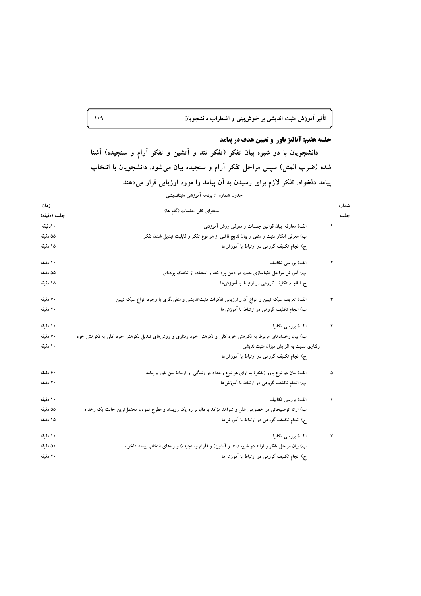# .<br>تأثیر آموزش مثبت اندیشی بر خوش**بینی و اضطراب دانشجویان**

## جلسه هفتم: آنالیز باور و تعیین هدف در پیامد

دانشجویان با دو شیوه بیان تفکر (تفکر تند و اَتشین و تفکر آرام و سنجیده) آشنا شده (ضرب المثل) سپس مراحل تفکر آرام و سنجیده بیان میشود. دانشجویان با انتخاب پیامد دلخواه، تفکر لازم برای رسیدن به آن پیامد را مورد ارزیابی قرار میدهند. جدول شماره ۱: برنامه آموزشی مثبتاندیشی

| زمان         |                                                                                                         | شماره |
|--------------|---------------------------------------------------------------------------------------------------------|-------|
| جلسه (دقيقه) | محتوای کلی جلسات (گام ها)                                                                               | جلسه  |
| ۱۰دقیقه      | الف) معارفه؛ بیان قوانین جلسات و معرفی روش آموزشی                                                       |       |
| ۵۵ دقیقه     | ب) معرفی افکار مثبت و منفی و بیان نتایج ناشی از هر نوع تفکر و قابلیت تبدیل شدن تفکر                     |       |
| ۱۵ دقیقه     | ج) انجام تکلیف گروهی در ارتباط با اَموزش۵ا                                                              |       |
| ۱۰ دقیقه     | الف) بررسی تکالیف                                                                                       | ۲     |
| ۵۵ دقیقه     | ب) آموزش مراحل فضاسازی مثبت در ذهن پرداخته و استفاده از تکنیک پردهای                                    |       |
| ۱۵ دقیقه     | ج ) انجام تکلیف گروهی در ارتباط با آموزش۵ا                                                              |       |
| ۶۰ دقیقه     | الف) تعریف سبک تبیین و انواع اَن و ارزیابی تفکرات مثبتاندیشی و منفی،نگری با وجود انواع سبک تبیین        | ٣     |
| ۲۰ دقیقه     | ب) انجام تکلیف گروهی در ارتباط با آموزشها                                                               |       |
| ۱۰ دقیقه     | الف) بررسی تکالیف                                                                                       | ۴     |
| ۶۰ دقیقه     | ب) بیان رخدادهای مربوط به نکوهش خود کلی و نکوهش خود رفتاری و روش۵ای تبدیل نکوهش خود کلی به نکوهش خود    |       |
| ۱۰ دقیقه     | رفتاری نسبت به افزایش میزان مثبتاندیشی                                                                  |       |
|              | ج) انجام تکلیف گروهی در ارتباط با آموزشها                                                               |       |
| ۶۰ دقیقه     | الف) بیان دو نوع باور (تفکر) به ازای هر نوع رخداد در زندگی و ارتباط بین باور و پیامد                    | ۵     |
| ۲۰ دقیقه     | ب) انجام تکلیف گروهی در ارتباط با آموزش ها                                                              |       |
| ۱۰ دقیقه     | الف) بررسی تکالیف                                                                                       | ۶     |
| ۵۵ دقیقه     | ب) ارائه توضیحاتی در خصوص علل و شواهد مؤکد یا دال بر رد یک رویداد و مطرح نمودن محتمل ترین حالت یک رخداد |       |
| ۱۵ دقیقه     | ج) انجام تکلیف گروهی در ارتباط با اَموزش۵ا                                                              |       |
| ۱۰ دقیقه     | الف) بررسی تکالیف                                                                                       | ٧     |
| ۵۰ دقیقه     | ب) بیان مراحل تفکر و ارائه دو شیوه (تند و آتشین) و (آرام وسنجیده) و راههای انتخاب پیامد دلخواه          |       |
| ۲۰ دقیقه     | ج) انجام تکلیف گروهی در ارتباط با اَموزش۵ا                                                              |       |

 $\lambda \cdot 9$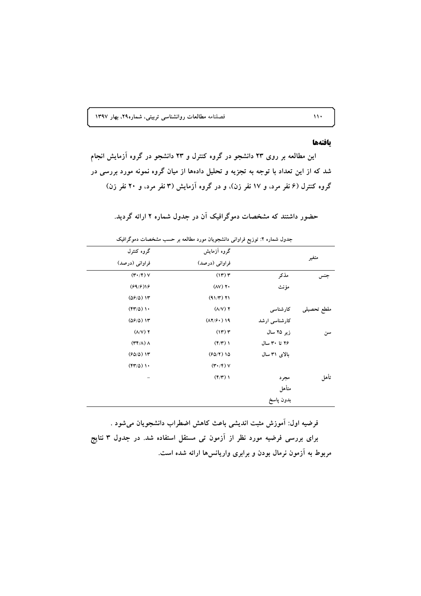#### بافتهها

متأهل بدون پاسخ

این مطالعه بر روی ۲۳ دانشجو در گروه کنترل و ۲۳ دانشجو در گروه آزمایش انجام شد که از این تعداد با توجه به تجزیه و تحلیل دادهها از میان گروه نمونه مورد بررسی در گروه کنترل (۶ نفر مرد، و ۱۷ نفر زن)، و در گروه آزمایش (۳ نفر مرد، و ۲۰ نفر زن)

#### جدول شماره ۲: توزیع فراوانی دانشجویان مورد مطالعه بر حسب مشخصات دموگرافیک گروه کنترل گروه آزمایش متغير فراواني (درصد) فراواني (درصد)  $(\mathbf{r} \cdot / \mathbf{r})$   $\vee$  $(1r)$ مذكر جنس  $(59/5)$  $(AY)$   $Y$ مؤنث  $(09/0)$  1۳  $(91/T)$  T1  $(\mathfrak{f}\mathfrak{r}'/\mathfrak{d})$  )  $\mathfrak{f}$ .  $(\lambda/V)$   $\Upsilon$ کارشناسی مقطع تحصيلى  $(09/0)$  1۳  $(\lambda Y/\hat{r})$  19 کارشناسی ارشد  $(\Lambda/V)$  Y  $(11)$ زیر ۲۵ سال سن ۲۶ تا ۳۰ سال  $(\Upsilon \Upsilon/\Lambda)$   $\Lambda$  $(\mathfrak{f}/\mathfrak{r})$  )  $(50/0)$  1۳ بالای ۳۱ سال  $(50/7)10$  $(\mathfrak{f}\mathfrak{r}'/\Delta)$  ).  $(\mathbf{r} \cdot / \mathbf{r})$   $\vee$  $(\mathfrak{f}/\mathfrak{r})$  ) تأهل مجرد

حضور داشتند که مشخصات دموگرافیک آن در جدول شماره ۲ ارائه گردید.

فرضيه اول: آموزش مثبت انديشي باعث كاهش اضطراب دانشجويان مي شود . برای بررسی فرضیه مورد نظر از آزمون تی مستقل استفاده شد. در جدول ۳ نتایج مربوط به آزمون نرمال بودن و برابری واریانس ها ارائه شده است.

 $\mathbf{W}$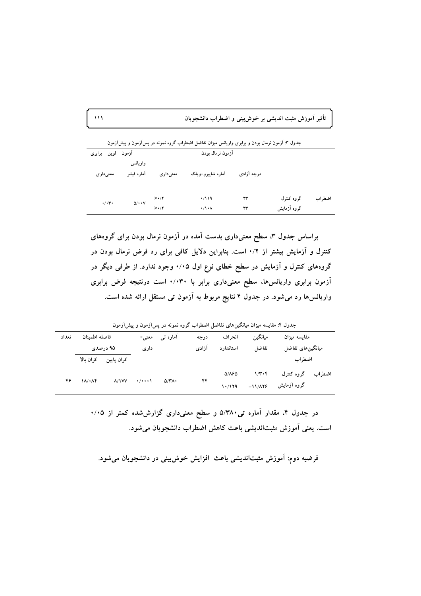۔<br>تأثیر آموزش مثبت اندیشی بر خوش<sub>ن</sub>بینی و اضطراب دانشجویان

| أزمون لوين برابرى       |                               |             | آزمون نرمال بودن     |            |             |        |
|-------------------------|-------------------------------|-------------|----------------------|------------|-------------|--------|
|                         | واريانس                       |             |                      |            |             |        |
| معنی داری               | آماره فيشر                    | معنى دارى   | أماره شاييرو–ويلك    | درجه آزادي |             |        |
|                         |                               | $>\cdot$    | .7119                | ۲۳         | گروه کنترل  | اضط اب |
| $\cdot/\cdot$ r $\cdot$ | $\Delta/\cdot\cdot\mathrm{V}$ | $> \cdot 7$ | $\cdot/\cdot \wedge$ | ۲۳         | گروه آزمایش |        |

براساس جدول ۳، سطح معنیداری بدست آمده در آزمون نرمال بودن برای گروههای کنترل و آزمایش بیشتر از ۰/۲ است. بنابراین دلایل کافی برای رد فرض نرمال بودن در گروههای کنترل و آزمایش در سطح خطای نوع اول ۰/۰۵ وجود ندارد. از طرفی دیگر در آزمون برابری واریانسها، سطح معنیداری برابر با ۰/۰۳۰ است درنتیجه فرض برابری واریانسها رد میشود. در جدول ۴ نتایج مربوط به آزمون تی مستقل ارائه شده است.

جدول ۴: مقایسه میزان میانگینهای تفاضل اضطراب گروه نمونه در پسآزمون و پیشآزمون

| فاصله اطمنان<br>تعداد<br>۹۵ درصدی |                        | معنی-         |                             | درجه                                 | انحر اف                       | ميانگين                       |                  |                        |
|-----------------------------------|------------------------|---------------|-----------------------------|--------------------------------------|-------------------------------|-------------------------------|------------------|------------------------|
|                                   |                        | دارى          |                             | آزادى                                | استاندار د                    | تفاضل                         | ميانگينهاي تفاضل |                        |
| كران بالا                         | كران پايين             |               |                             |                                      |                               |                               |                  |                        |
|                                   |                        |               |                             |                                      | $Q/(\lambda \partial \Omega)$ | $1/\mathbf{r}\cdot\mathbf{r}$ | گروه کنترل       | اضط اب                 |
|                                   |                        |               |                             |                                      | 1.7179                        | $-11/179$                     | گروه آزمایش      |                        |
|                                   | $1/\sqrt{1+\Lambda^2}$ | $\Lambda/1VV$ | $\cdot$ / $\cdot$ $\cdot$ \ | آمارہ تی<br>$\Delta/\Upsilon\Lambda$ | ۴۴                            |                               |                  | مقايسه ميزان<br>اضط اب |

در جدول ۴، مقدار آماره تی ۵/۳۸۰ و سطح معنیداری گزارششده کمتر از ۰/۰۵ است. يعني آموزش مثبتانديشي باعث كاهش اضطراب دانشجويان مي شود.

فرضیه دوم: آموزش مثبتاندیشی باعث افزایش خوش بینی در دانشجویان میشود.

 $\mathbf{M}$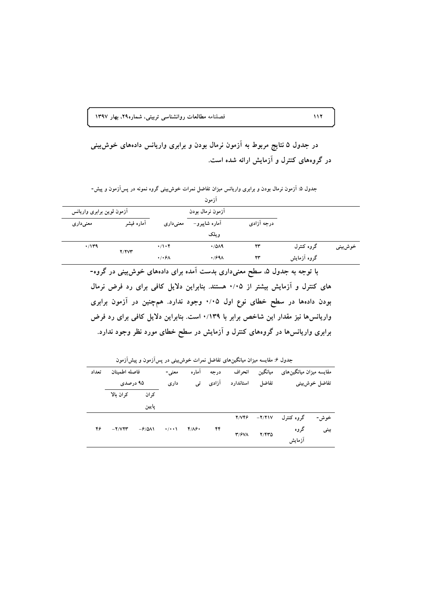در جدول ۵ نتایج مربوط به آزمون نرمال بودن و برابری واریانس دادههای خوش بینی در گروههای کنترل و آزمایش ارائه شده است.

| أزمون                     |            |                      |               |            |             |         |  |  |  |
|---------------------------|------------|----------------------|---------------|------------|-------------|---------|--|--|--|
| أزمون لوين برابرى واريانس |            | أزمون نرمال بودن     |               |            |             |         |  |  |  |
| معنى دارى                 | آماره فيشر | معنىدارى             | آماره شاپیرو– | درجه آزادی |             |         |  |  |  |
|                           |            |                      | و ىلك         |            |             |         |  |  |  |
| $\cdot$ /1۳۹              | Y/YY'      | $\cdot/\cdot$ ۴      | .7019         | ۲۳         | گروه کنترل  | خوشبيني |  |  |  |
|                           |            | $\cdot$ / $\cdot$ ۶۸ | $\cdot$ /۶۹۸  | ۲۳         | گروه آزمایش |         |  |  |  |

جدول ۵: اَزمون نرمال بودن و برابری واریانس میزان تفاضل نمرات خوشبینی گروه نمونه در پسآزمون و پیش-

.<br>با توجه به جدول ۵، سطح معنی۱داری بدست آمده برای دادههای خوش بینی در گروه-های کنترل و آزمایش بیشتر از ۰/۰۵ هستند. بنابراین دلایل کافی برای رد فرض نرمال بودن دادهها در سطح خطای نوع اول ۰/۰۵ وجود ندارد. همچنین در آزمون برابری واریانسها نیز مقدار این شاخص برابر با ۰/۱۳۹ است. بنابراین دلایل کافی برای رد فرض برابری واریانسها در گروههای کنترل و آزمایش در سطح خطای مورد نظر وجود ندارد.

جدول ۶: مقایسه میزان میانگینهای تفاضل نمرات خوش بینی در پس آزمون و پیش آزمون

| تعداد | فاصله اطمىنان |                                                 | معنی - | آماره         | در جه | انحراف    | ميانگين     | مقایسه میزان میانگینهای |               |
|-------|---------------|-------------------------------------------------|--------|---------------|-------|-----------|-------------|-------------------------|---------------|
|       | ۹۵ درصدی      |                                                 | دارى   | تىي           | آزادی | استاندارد | تفاضل       |                         | تفاضل خوشبيني |
|       | كران بالا     | کر ان                                           |        |               |       |           |             |                         |               |
|       |               | يايين                                           |        |               |       |           |             |                         |               |
|       |               |                                                 |        |               |       | 2/746     | $-Y/ Y 1 V$ | گروه کنترل              | خوش-          |
| ۴۶    | $-Y/ V Y Y'$  | $-\frac{\epsilon}{\Delta}$<br>$\cdot$ / $\cdot$ |        | $f/\Lambda f$ | ۴۴    | T/FVA     | Y/YY        | گروه                    | بینی          |
|       |               |                                                 |        |               |       |           | أزمايش      |                         |               |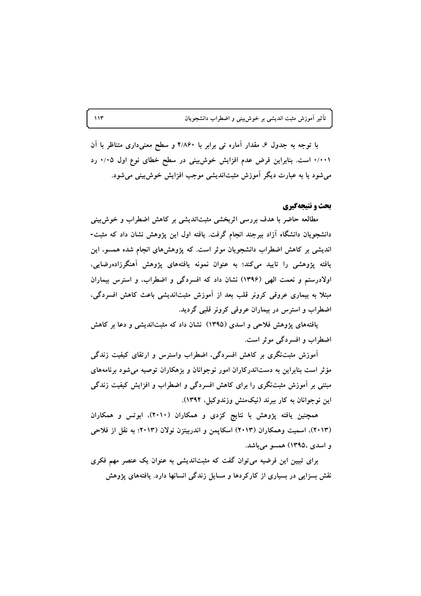تأثیر آموزش مثبت اندیشی بر خوشبینی و اضطراب دانشجویان

با توجه به جدول ۶، مقدار آماره تبی برابر با ۴/۸۶۰ و سطح معنیداری متناظر با آن ۰/۰۰۱ است. بنابراین فرض عدم افزایش خوش بینی در سطح خطای نوع اول ۰/۰۵ رد مي شود يا به عبارت ديگر آموزش مثبتانديشي موجب افزايش خوش بيني مي شود.

#### بحث و نتیجهگیری

مطالعه حاضر با هدف بررسی اثربخشی مثبتاندیشی بر کاهش اضطراب و خوش بینی دانشجویان دانشگاه آزاد بیرجند انجام گرفت. یافته اول این پژوهش نشان داد که مثبت-اندیشی بر کاهش اضطراب دانشجویان موثر است. که پژوهشهای انجام شده همسو، این یافته پژوهشی را تایید میکند؛ به عنوان نمونه یافتههای پژوهش آهنگرزادهرضایی، اولادرستم و نعمت الهی (۱۳۹۶) نشان داد که افسردگی و اضطراب، و استرس بیماران مبتلا به بیماری عروقی کرونر قلب بعد از آموزش مثبتاندیشی باعث کاهش افسردگی، اضطراب و استرس در بیماران عروقی کرونر قلبی گردید.

یافتههای پژوهش فلاحی و اسدی (۱۳۹۵) نشان داد که مثبتاندیشی و دعا بر کاهش اضطراب و افسر دگی موثر است.

آموزش مثبتنگری بر کاهش افسردگی، اضطراب واسترس و ارتقای کیفیت زندگی مؤثر است بنابراین به دستاندرکاران امور نوجوانان و بزهکاران توصیه می شود برنامههای مبتنی بر آموزش مثبتنگری را برای کاهش افسردگی و اضطراب و افزایش کیفیت زندگی این نوجوانان به کار ببرند (نیکمنش وزندوکیل، ۱۳۹۴).

همچنین یافته پژوهش با نتایج کزدی و همکاران (۲۰۱۰)، ابوتس و همکاران (۲۰۱۳)، اسمیت وهمکاران (۲۰۱۳) اسکاپمن و اندربیتزن نولان (۲۰۱۳؛ به نقل از فلاحی و اسدی ،۱۳۹۵) همسو می باشد.

برای تبیین این فرضیه می توان گفت که مثبتاندیشی به عنوان یک عنصر مهم فکری نقش بسزایی در بسیاری از کارکردها و مسایل زندگی انسانها دارد. یافتههای پژوهش

 $\mathcal{M}$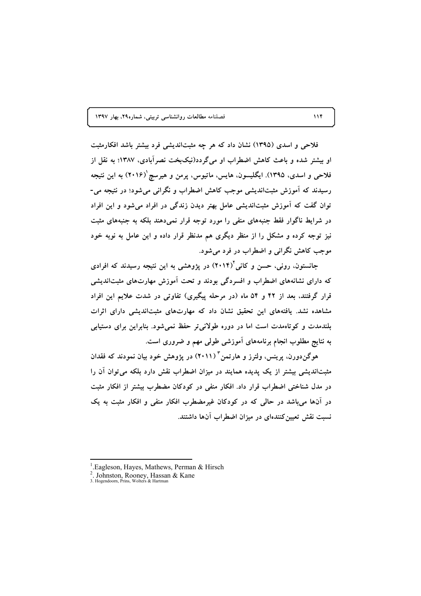فلاحی و اسدی (۱۳۹۵) نشان داد که هر چه مثبتاندیشی فرد بیشتر باشد افکارمثبت او بیشتر شده و باعث کاهش اضطراب او میگردد(نیکبخت نصرآبادی، ۱۳۸۷؛ به نقل از فلاحي و اسدې، ۱۳۹۵). ايگليسون، هايس، ماتيوس، پرمن و هيرسچ`(۲۰۱۶) به اين نتيجه رسیدند که آموزش مثبتاندیشی موجب کاهش اضطراب و نگرانی می شود؛ در نتیجه می-توان گفت که آموزش مثبتاندیشی عامل بهتر دیدن زندگی در افراد می شود و این افراد در شرایط ناگوار فقط جنبههای منفی را مورد توجه قرار نمی دهند بلکه به جنبههای مثبت نیز توجه کرده و مشکل را از منظر دیگری هم مدنظر قرار داده و این عامل به نوبه خود موجب کاهش نگرانی و اضطراب در فرد می شود.

جانستون، رونی، حسن و کانی'(۲۰۱۴) در پژوهشی به این نتیجه رسیدند که افرادی که دارای نشانههای اضطراب و افسردگی بودند و تحت آموزش مهارتهای مثبتاندیشی قرار گرفتند، بعد از ۴۲ و ۵۴ ماه (در مرحله پیگیری) تفاوتی در شدت علایم این افراد مشاهده نشد. یافتههای این تحقیق نشان داد که مهارتهای مثبتاندیشی دارای اثرات بلندمدت و کوتاهمدت است اما در دوره طولانی تر حفظ نمیشود. بنابراین برای دستیابی به نتایج مطلوب انجام برنامههای آموزشی طولی مهم و ضروری است.

هوگندورن، پرینس، ولترز و هارتمن<sup>۳</sup> (۲۰۱۱) در پژوهش خود بیان نمودند که فقدان مثبتاندیشی بیشتر از یک پدیده همایند در میزان اضطراب نقش دارد بلکه می توان آن را در مدل شناختی اضطراب قرار داد. افکار منفی در کودکان مضطرب بیشتر از افکار مثبت در آنها می باشد در حالی که در کودکان غیرمضطرب افکار منفی و افکار مثبت به یک نسبت نقش تعیین کنندهای در میزان اضطراب آنها داشتند.

<sup>&</sup>lt;sup>1</sup>.Eagleson, Hayes, Mathews, Perman & Hirsch

<sup>2.</sup> Johnston, Rooney, Hassan & Kane<br>3. Hogendoom, Prins, Wolters & Hartman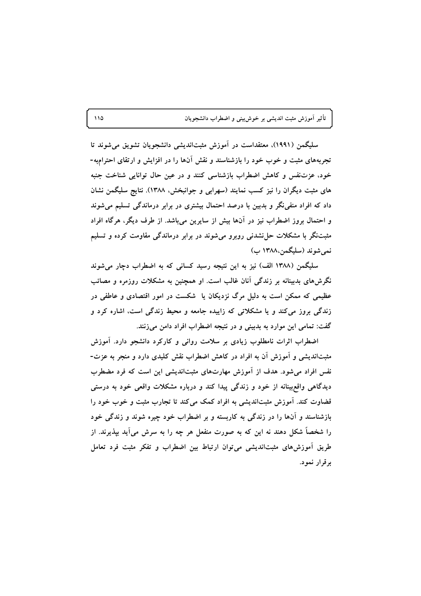سلیگمن (۱۹۹۱)، معتقداست در آموزش مثبتاندیشی دانشجویان تشویق میشوند تا تجربههای مثبت و خوب خود را بازشناسند و نقش آنها را در افزایش و ارتقای احترامبه-خود، عزتنفس و كاهش اضطراب بازشناسی كنند و در عین حال توانایی شناخت جنبه های مثبت دیگران را نیز کسب نمایند (سهرابی و جوانبخش، ۱۳۸۸). نتایج سلیگمن نشان داد که افراد منفی نگر و بدبین با درصد احتمال بیشتری در برابر درماندگی تسلیم می شوند و احتمال بروز اضطراب نیز در آنها بیش از سایرین می باشد. از طرف دیگر، هرگاه افراد مثبتنگر با مشکلات حل نشدنی روبرو می شوند در برابر درماندگی مقاومت کرده و تسلیم نمي شوند (سليگمن،١٣٨٨ ب)

سلیگمن (۱۳۸۸ الف) نیز به این نتیجه رسید کسانی که به اضطراب دچار می شوند نگرش های بدبینانه بر زندگی آنان غالب است. او همچنین به مشکلات روزمره و مصائب عظیمی که ممکن است به دلیل مرگ نزدیکان یا شکست در امور اقتصادی و عاطفی در زندگی بروز می کند و یا مشکلاتی که زاییده جامعه و محیط زندگی است، اشاره کرد و گفت: تمامی این موارد به بدبینی و در نتیجه اضطراب افراد دامن میزنند.

اضطراب اثرات نامطلوب زیادی بر سلامت روانی و کارکرد دانشجو دارد. آموزش مثبتاندیشی و اَموزش اَن به افراد در کاهش اضطراب نقش کلیدی دارد و منجر به عزت-نفس افراد می شود. هدف از آموزش مهارتهای مثبتاندیشی این است که فرد مضطرب دیدگاهی واقع بینانه از خود و زندگی پیدا کند و درباره مشکلات واقعی خود به درستی قضاوت کند. آموزش مثبتاندیشی به افراد کمک میکند تا تجارب مثبت و خوب خود را بازشناسند و آنها را در زندگی به کاربسته و بر اضطراب خود چیره شوند و زندگی خود را شخصاً شکل دهند نه این که به صورت منفعل هر چه را به سرش میآید بپذیرند. از طریق اَموزش،های مثبتاندیشی می توان ارتباط بین اضطراب و تفکر مثبت فرد تعامل برقرار نمود.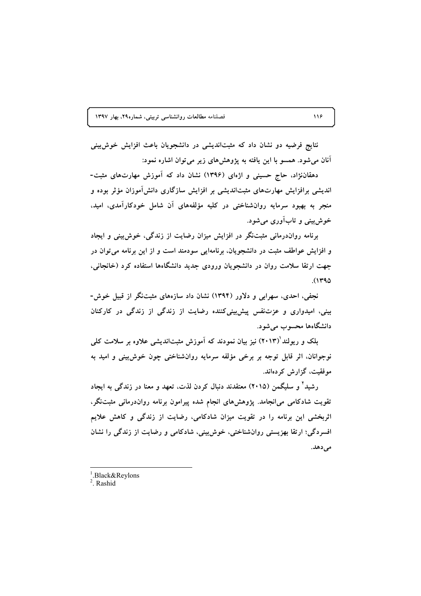نتایج فرضیه دو نشان داد که مثبتاندیشی در دانشجویان باعث افزایش خوش بینی آنان میشود. همسو با این یافته به پژوهشهای زیر می توان اشاره نمود:

دهقاننژاد، حاج حسینی و اژهای (۱۳۹۶) نشان داد که آموزش مهارتهای مثبت-اندیشی برافزایش مهارتهای مثبتاندیشی بر افزایش سازگاری دانش آموزان مؤثر بوده و منجر به بهبود سرمایه روانشناختی در کلیه مؤلفههای آن شامل خودکارآمدی، امید، خوش بينې و تاب آورې مې شود.

برنامه رواندرمانی مثبتنگر در افزایش میزان رضایت از زندگی، خوش بینی و ایجاد و افزایش عواطف مثبت در دانشجویان، برنامهایی سودمند است و از این برنامه می توان در جهت ارتقا سلامت روان در دانشجویان ورودی جدید دانشگاهها استفاده کرد (خانجانی،  $(1490$ 

نجفی، احدی، سهرابی و دلاور (۱۳۹۴) نشان داد سازههای مثبتنگر از قبیل خوش-بینی، امیدواری و عزتنفس پیش بینی کننده رضایت از زندگی از زندگی در کارکنان دانشگاهها محسوب می شود.

بلک و ریولند (۲۰۱۳) نیز بیان نمودند که آموزش مثبتاندیشی علاوه بر سلامت کلی نوجوانان، اثر قابل توجه بر برخی مؤلفه سرمایه روانشناختی چون خوش بینی و امید به موفقیت، گزارش کردهاند.

رشید' و سلیگمن (۲۰۱۵) معتقدند دنبال کردن لذت، تعهد و معنا در زندگی به ایجاد تقویت شادکامی می|نجامد. پژوهشهای انجام شده پیرامون برنامه رواندرمانی مثبتنگر، اثربخشی این برنامه را در تقویت میزان شادکامی، رضایت از زندگی و کاهش علایم افسردگی؛ ارتقا بهزیستی روانشناختی، خوش بینی، شادکامی و رضایت از زندگی را نشان مى دهد.

 $2$  Rashid

<sup>&</sup>lt;sup>1</sup>.Black&Reylons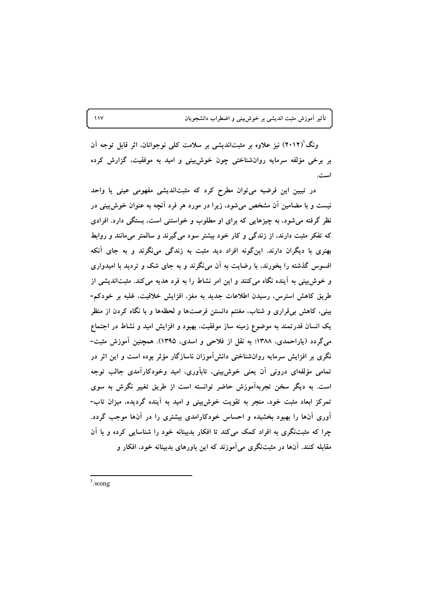ونگ`(۲۰۱۲) نیز علاوه بر مثبتاندیشی بر سلامت کلی نوجوانان، اثر قابل توجه آن بر برخی مؤلفه سرمایه روانشناختی چون خوش بینی و امید به موفقیت، گزارش کرده است.

در تبیین این فرضیه می توان مطرح کرد که مثبتاندیشی مفهومی عینی یا واحد نیست و با مضامین آن مشخص می شود، زیرا در مورد هر فرد آنچه به عنوان خوش بینی در نظر گرفته می شود، به چیزهایی که برای او مطلوب و خواستنی است، بستگی دارد. افرادی که تفکر مثبت دارند، از زندگی و کار خود بیشتر سود میگیرند و سالمتر میمانند و روابط بهتری با دیگران دارند. اینگونه افراد دید مثبت به زندگی می،نگرند و به جای آنکه افسوس گذشته را بخورند، با رضایت به آن می،نگرند و به جای شک و تردید با امیدواری و خوش بینی به آینده نگاه می کنند و این امر نشاط را به فرد هدیه می کند. مثبتاندیشی از طریق کاهش استرس، رسیدن اطلاعات جدید به مغز، افزایش خلاقیت، غلبه بر خودکم-بینی، کاهش برتقراری و شتاب، مغتنم دانستن فرصتها و لحظهها و با نگاه کردن از منظر یک انسان قدرتمند به موضوع زمینه ساز موفقیت، بهبود و افزایش امید و نشاط در اجتماع میگردد (یاراحمدی، ۱۳۸۸؛ به نقل از فلاحی و اسدی، ۱۳۹۵). همچنین آموزش مثبت-نگری بر افزایش سرمایه روانشناختی دانشآموزان ناسازگار مؤثر بوده است و این اثر در تمامی مؤلفهای درونی آن یعنی خوش بینی، تابآوری، امید وخودکارآمدی جالب توجه است. به دیگر سخن تجربهآموزش حاضر توانسته است از طریق تغییر نگرش به سوی تمرکز ابعاد مثبت خود، منجر به تقویت خوش بینی و امید به آینده گردیده، میزان تاب-آوری آنها را بهبود بخشیده و احساس خودکارامدی بیشتری را در آنها موجب گردد. چرا که مثبتنگری به افراد کمک میکند تا افکار بدبینانه خود را شناسایی کرده و با آن مقابله کنند. آنها در مثبتنگری می آموزند که این باورهای بدبینانه خود، افکار و

 $3$  wong

 $\sqrt{2}$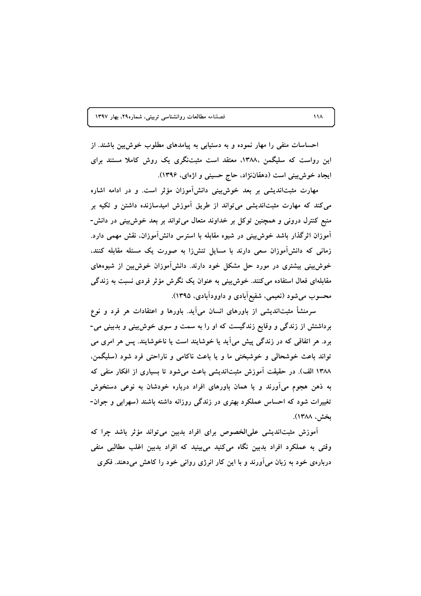احساسات منفی را مهار نموده و به دستیابی به پیامدهای مطلوب خوش بین باشند. از این رواست که سلیگمن ،۱۳۸۸، معتقد است مثبتنگری یک روش کاملا مستند برای ایجاد خوش بینی است (دهقاننژاد، حاج حسینی و اژهای، ۱۳۹۶).

مهارت مثبتاندیشی بر بعد خوشبینی دانشآموزان مؤثر است. و در ادامه اشاره می کند که مهارت مثبتاندیشی می تواند از طریق آموزش امیدسازنده داشتن و تکیه بر منبع کنترل درونی و همچنین توکل بر خداوند متعال می تواند بر بعد خوش بینی در دانش-آموزان اثرگذار باشد خوش بینی در شیوه مقابله با استرس دانشآموزان. نقش مهمی دارد. زمانی که دانشآموزان سعی دارند با مسایل تنشiرا به صورت یک مسئله مقابله کنند، خوش بینی بیشتری در مورد حل مشکل خود دارند. دانش آموزان خوش بین از شیوههای مقابلهای فعال استفاده می کنند. خوش بینی به عنوان یک نگرش مؤثر فردی نسبت به زندگی محسوب میشود (نعیمی، شفیعآبادی و داوودآبادی، ۱۳۹۵).

سرمنشأ مثبتاندیشی از باورهای انسان میآید. باورها و اعتقادات هر فرد و نوع برداشتش از زندگی و وقایع زندگیست که او را به سمت و سوی خوش بینی و بدبینی می-برد. هر اتفاقی که در زندگی پیش میآید یا خوشایند است یا ناخوشایند. پس هر امری می تواند باعث خوشحالی و خوشبختی ما و یا باعث ناکامی و ناراحتی فرد شود (سلیگمن، ۱۳۸۸ الف). در حقیقت آموزش مثبتاندیشی باعث میشود تا بسیاری از افکار منفی که به ذهن هجوم می آورند و یا همان باورهای افراد درباره خودشان به نوعی دستخوش تغییرات شود که احساس عملکرد بهتری در زندگی روزانه داشته باشند (سهرابی و جوان-بخش، ۱۳۸۸).

آموزش مثبتاندیشی علیالخصوص برای افراد بدبین میتواند مؤثر باشد چرا که وقتی به عملکرد افراد بدبین نگاه میکنید میبینید که افراد بدبین اغلب مطالبی منفی دربارهی خود به زبان می آورند و با این کار انرژی روانی خود را کاهش میدهند. فکری

 $\lambda$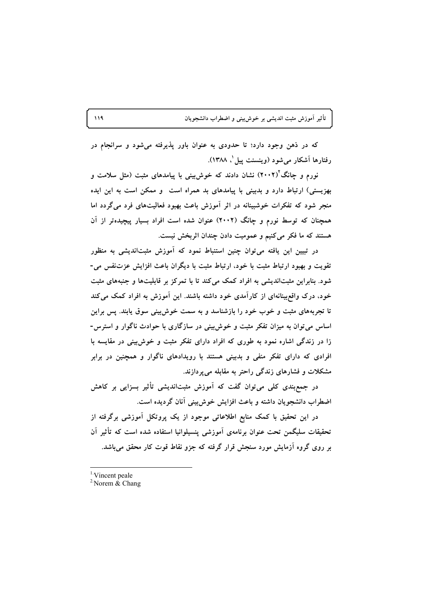که در ذهن وجود دارد؛ تا حدودی به عنوان باور پذیرفته میشود و سرانجام در رفتارها آشکار میشود (وینسنت پیل ٰ، ۱۳۸۸).

نورم و چانگ<sup>۲</sup>(۲۰۰۲) نشان دادند که خوشبینی با پیامدهای مثبت (مثل سلامت و بهزیستی) ارتباط دارد و بدبینی با پیامدهای بد همراه است و ممکن است به این ایده منجر شود که تفکرات خوشبینانه در اثر آموزش باعث بهبود فعالیتهای فرد میگردد اما همچنان که توسط نورم و چانگ (۲۰۰۲) عنوان شده است افراد بسیار پیچیدهتر از آن هستند که ما فکر میکنیم و عمومیت دادن چندان اثربخش نیست.

در تبیین این یافته میتوان چنین استنباط نمود که آموزش مثبتاندیشی به منظور تقویت و بهبود ارتباط مثبت با خود، ارتباط مثبت با دیگران باعث افزایش عزتنفس می-شود. بنابراین مثبتاندیشی به افراد کمک میکند تا با تمرکز بر قابلیتها و جنبههای مثبت خود، درک واقع بینانهای از کارآمدی خود داشته باشند. این آموزش به افراد کمک می کند تا تجربههای مثبت و خوب خود را بازشناسد و به سمت خوش بینی سوق یابند. پس براین اساس می توان به میزان تفکر مثبت و خوش بینی در سازگاری با حوادث ناگوار و استرس-زا در زندگی اشاره نمود به طوری که افراد دارای تفکر مثبت و خوش بینی در مقایسه با افرادی که دارای تفکر منفی و بدبینی هستند با رویدادهای ناگوار و همچنین در برابر مشکلات و فشارهای زندگی راحتر به مقابله می پردازند.

در جمع بندی کلی می توان گفت که آموزش مثبتاندیشی تأثیر بسزایی بر کاهش اضطراب دانشجویان داشته و باعث افزایش خوش بینی آنان گردیده است.

در این تحقیق با کمک منابع اطلاعاتی موجود از یک پروتکل آموزشی برگرفته از تحقیقات سلیگمن تحت عنوان برنامەی آموزشی پنسیلوانیا استفاده شده است که تأثیر آن بر روی گروه آزمایش مورد سنجش قرار گرفته که جزو نقاط قوت کار محقق می باشد.

<sup>1</sup>Vincent peale

<sup>&</sup>lt;sup>2</sup> Norem  $\&$  Chang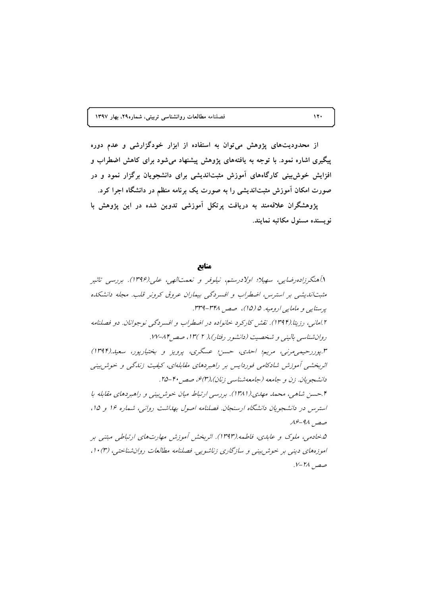از محدودیتهای پژوهش می توان به استفاده از ابزار خودگزارشی و عدم دوره پیگیری اشاره نمود. با توجه به یافتههای پژوهش پیشنهاد میشود برای کاهش اضطراب و افزایش خوش بینی کارگاههای آموزش مثبتاندیشی برای دانشجویان برگزار نمود و در صورت امکان آموزش مثبتاندیشی را به صورت یک برنامه منظم در دانشگاه اجرا کرد. یژوهشگران علاقهمند به دریافت پرتکل آموزشی تدوین شده در این یژوهش با

نو بسنده مسئول مکاتبه نمایند.

مناىع

۱.آهنگرزاده رضایی، سهیلا؛ اولادرستم، نیلوفر و نعمتالهی، علی.(۱۳۹۶). بررسی تاثیر مثبتاندیشی بر استرس، اضطراب و افسردگی بیماران عروق کرونر قلب. مجله دانشکده پرستایی و مامایی ارومیه. ۵ (۱۵)، صص ۳۴۸-۳۳۹. ۲.امانه ، رزیتا.(۱۳۹۴). نقش کارکرد خانواده در اضطراب و افسردگه نوجوانان. دو فصلنامه روان شناسی بالینی و شخصیت (دانشور رفتار)، ( ۲ )۱۳ ، صص ۸۴–۱۷۷. ۳.پوررحیمی مرنبی، مریم؛ احدی، حسن؛ عسگری، پرویز و بختیارپور، سعید.(۱۳۹۴) اثربخشی آموزش شادکامی فوردایس بر راهبردهای مقابلهای، کیفیت زندگی و خوش بینی دانشجویان. زن و جامعه (جامعهشناسی زنان)،(۳) ه، صص ۴۰-۲۵. ۴.حسن شاهی، محمد مهدی.(۱۳۸۱). بررسی ارتباط میان خوش بینی و راهبردهای مقابله با استرس در دانشجویان دانشگاه ارسنجان. فصلنامه اصول بهداشت روانی، شماره ۱۶ و ۱۵، صص ۹۸-۱۶ ۵.خادمی، ملوک و عابدی، فاطمه.(۱۳۹۳). اثربخش آموزش مهارتهای ارتباطی مبتنی بر اموزههای دینی بر خوش بینی و سازگاری زناشویی. فصلنامه مطالعات روان شناختی، (۳) ۱۰، صص 1⁄4-٧.

 $17.$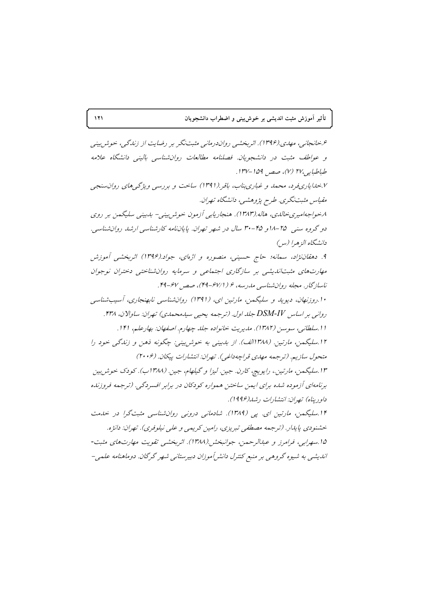۶.خانجانبي، مهدي.(۱۳۹۶). اثر بخشبي رواندرماني مثبت نگر بر رضايت از زندگي، خوش بيني و عواطف مثبت در دانشجویان. فصلنامه مطالعات روان شناسبی بالینبی دانشگاه علامه طباطبايه ب٢٧ (٧)، صص ١٥٩-١٣٧. ۰٪ بحدایاری فرد، محمد و غباری بناب، باقر (۱۳۹۱) ساخت و بررسی ویژگی های روان سنجی مقياس مثبت نگري. طرح پژوهشي، دانشگاه تهران. ۸.خواجهامیری خالدی، هاله.(۱۳۸۳). هنجاریابی آزمون خوشربینی- بدبینی سلیگمن بر روی دو گروه سنبی ۲۵–۱۸و ۴۵–۳۰ سال در شهر تهران. پایاننامه کارشناسبی ارشد روان شناسبی. دانشگاه الز هرا (س ۹. دهقان نژاد، سمانه؛ حاج حسینی، منصوره و اژهای، جواد.(۱۳۹۶) اثربخشی آموزش مهارتهای مثبتاندیشی بر سازگاری اجتماعی و سرمایه روانشناختی دختران نوجوان ناسازگار. مجله روانشناسی مدرسه، ۶ (۶۷/۱-۴۹)، صص ۶۷-۴۹. ۱۰.روزنهان، دیوید و سلیگمن، مارتین ای، (۱۳۹۱) روانشناسی نابهنجاری، آسیبشناسی رواني پر اساس DSM-IV جلد اول. (ترجمه بحبي سيدمحمدي) تهران: ساوالان، ۴۳۸. ١١.سلطاني، سوسن (١٣٨٢). مديريت خانواده جلد چهارم. اصفهان: بهارعلم، ١٢١. ۱۲.سلیگمن، مارتین. (۱۳۸۸الف). از بدبینی به خوش بینی: چگونه ذهن و زندگی خود را متحول سازيم. (ترجمه مهدي قراجه داغي). تهران: انتشارات پيكان. (۲۰۰۶) ۱۳.سلیگمن، مارتین.، رایویچ، کارن. جین. لیزا و گیلهام، جین. (۱۳۸۸ب). کودک خوش بین برنامهای آزموده شده برای ایمن ساختن همواره کودکان در برابر افسردگی. (ترجمه فروزنده داو دیناه) تصران: انتشارات د شد(۱۹۹۶). ۱۴.سلیگمن، مارتین ای. یی (۱۳۸۹). شادمانی درونی روانشناسی مثبتگرا در خلیفت خشنودي پايدار. (ترجمه مصطفى تبريزي، رامين كريمي و على نيلوفري). تهران: دانژه. ۱۵.سهرايي، فرامرز و عبدالرحمن، جوانبخش (۱۳۸۸). اثر بخشبي تقويت مهارتهاي مثبت-اندیشی به شیوه گروهی بر منبع کنترل دانش آموزان دبیرستانی شهر گرگان. دوماهنامه علمی-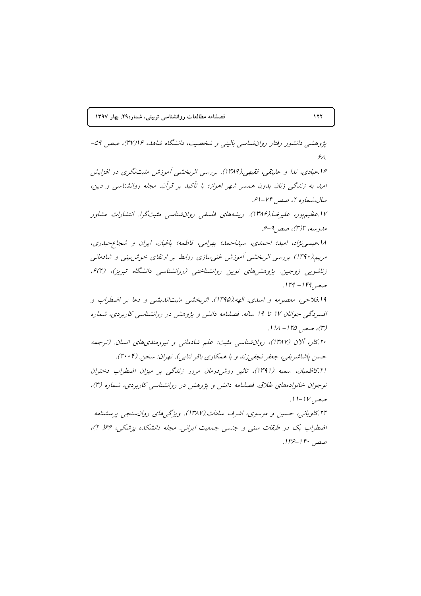یژوهشی دانشور رفتار روان شناسی بالینی و شخصیت، دانشگاه شاهد، ۱۶ا(۳۷)، صص ۵۹- $\mathcal{A}$ 

۱۶.عبادی، ندا و علینقی، فقیهی (۱۳۸۹). بررسی اثربخشی آموزش مثبتنگری در افزایش امید به زندگی زنان بدون همسر شهر اهواز؛ با تأکید بر قرآن. مجله روانشناسی و دین، سال،شعاره ۲، صصر ۷۴-اعر

۱۷.عظیم پور، علیرضا.(۱۳۸۶). ریشههای فلسفی روان شناسی مثبت گرا. انتشارات مشاور ماردسه، ۲(۳)، صصر ۹-۶.

١٨.عيسى نژاد، اميد؛ احمدى، سيداحمد؛ بهرامى، فاطمه؛ باغبان، ايران و شجاع حيدرى، مریم.(۱۳۹۰) بررسی اثربخشی آموزش غنیسازی روابط بر ارتقای خوش بینی و شادمانی زناشویی زوجین. پژوهش های نوین روانشناختبی (روانشناسی دانشگاه تبریز)، (۲) ه، صصر ۱۴۹ - ۱۲۹.

۱۹.فلاحی، معصومه و اسدی، الهه.(۱۳۹۵). اثربخشی مثبتاندیشی و دعا بر اضطراب و افسردگی جوانان ۱۷ تا ۱۹ ساله. فصلنامه دانش و پژوهش در روانشناسی کاربردی، شماره (٣)، صص ١٢۵ - ١١٨.

۲۰ کار، آلان (۱۳۸۷)، روان شناسی مثبت: علم شادمانی و نیرومندی های انسان. (ترجمه حسن پاشاشریفی، جعفر نجفی زند و با همکاری باقر ثنایی). تهران: سخن. (۲۰۰۴). ٢١. كاظميان، سميه (١٣٩١)، تاثير روش درمان مرور زناكى بر ميزان اضطراب دختران

نوجوان خانوادههای طلاق. فصلنامه دانش و پژوهش در روانشناسی کاربردی، شماره (۳)، صص ١٧-١١.

۲۲.کاویانی، حسین و موسوی، اشرف سادات.(۱۳۸۷). ویژگهای روانسنجی پرسشنامه اضطراب بک در طبقات سنی و جنسی جمعیت ایرانی. مجله دانشکله پزشکی، ۶۶ (۲)، صص ۱۴۰-۱۳۶.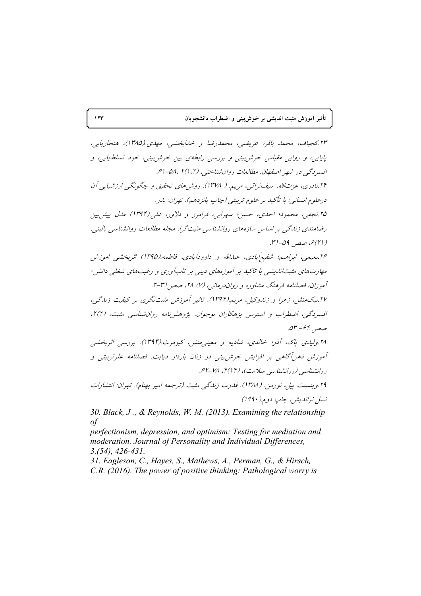تأثیر آموزش مثبت اندیشی بر خوشبینی و اضطراب دانشجویان

٢٣.کجباف، محمد باقر؛ عریضی، محمدرضا و خدابخشبی، مهدی (١٣٨۵)، هنجاریابی، پایایی، و روایی مقیاس خوش بینی و بررسی رابطهی بین خوش بینی، خود تسلط پایی، و افسردگی در شهر اصفهان. مطالعات روان شناختی، (۲(۱،۲) ـ ۵۸، ۶-۲۴.نادری، عزتالله. سيف نراقبي، مريم. ( ۱۳۷۸). روش های تحقيق و چگونگی ارزشيابی آن درعلوم انساني: با تأكيد بر علوم تربيتي (چاپ پانزدهم). تهران: بدر. ۲۵ نجفی، محمود؛ احدی، حسن؛ سهرابی، فرامرز و دلاور، علی(۱۳۹۴) ملل پیش بین دضامندی زندگی بر اساس سازههای روانشناسی مثبتگرا. مجله مطالعات روانشناسی بالبنی. (۲۱)ع، صصر, ۵۹-۳۱. ۲۶ نعیمهی، ابراهیه؛ شفیع آبادی، عبدالله و داوودآبادی، فاطمه (۱۳۹۵) اثربخشبی اموزش مهارتهای مثبتاندیشی با تاکید بر آموزههای دینی بر تابآوری و رغبتهای شغلی دانش -آموزان، فصلنامه فرهنگ مشاوره و رواندرمانی، (۷) ۲۸، صصر ۲۱-۲. ۲۷ نیک منش، زهرا و زندوکیل، مریم(۱۳۹۴). تاثیر آموزش مثبتنگری بر کیفیت زندگی، افسردگی، اضطراب و استرس بزهکاران نوجوان. پژوهشرنامه روان شناسبی مثبت، (۲)۲، صص ۴۶۴–۵۳. ۲۸ ولیدی پاک، آذر؛ خالدی، شادیه و معینه منش، کیومرث(۱۳۹۴). بررسی اثربخشبی آموزش ذهنآگاهی بر افزایش خوش بینی در زنان باردار دیابت. فصلنامه علوتربیتی و روانشناسی (روانشناسی سلامت)، (۲/ ۴)، ۷۸-۶۲. ٢٩.وينسنت پيل، نورميز. (١٣٨٨). قدرت زندگچ مثبت (ترجمه امير پهنام). تهران: انتشارات نسل نوانديش، چاپ دوم.(١٩٩٠)

30. Black, J., & Reynolds, W. M. (2013). Examining the relationship  $\circ f$ 

perfectionism, depression, and optimism: Testing for mediation and moderation. Journal of Personality and Individual Differences,  $3, (54), 426 - 431.$ 

31. Eagleson, C., Hayes, S., Mathews, A., Perman, G., & Hirsch, C.R. (2016). The power of positive thinking: Pathological worry is